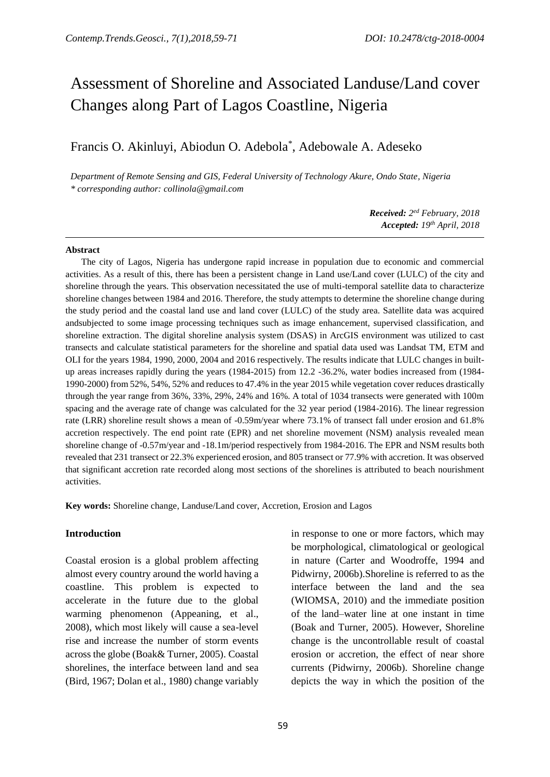# Assessment of Shoreline and Associated Landuse/Land cover Changes along Part of Lagos Coastline, Nigeria

## Francis O. Akinluyi, Abiodun O. Adebola\* , Adebowale A. Adeseko

*Department of Remote Sensing and GIS, Federal University of Technology Akure, Ondo State, Nigeria \* corresponding author: collinola@gmail.com*

> *Received: 2 ed February, 2018 Accepted: 19th April, 2018*

#### **Abstract**

The city of Lagos, Nigeria has undergone rapid increase in population due to economic and commercial activities. As a result of this, there has been a persistent change in Land use/Land cover (LULC) of the city and shoreline through the years. This observation necessitated the use of multi-temporal satellite data to characterize shoreline changes between 1984 and 2016. Therefore, the study attempts to determine the shoreline change during the study period and the coastal land use and land cover (LULC) of the study area. Satellite data was acquired andsubjected to some image processing techniques such as image enhancement, supervised classification, and shoreline extraction. The digital shoreline analysis system (DSAS) in ArcGIS environment was utilized to cast transects and calculate statistical parameters for the shoreline and spatial data used was Landsat TM, ETM and OLI for the years 1984, 1990, 2000, 2004 and 2016 respectively. The results indicate that LULC changes in builtup areas increases rapidly during the years (1984-2015) from 12.2 -36.2%, water bodies increased from (1984- 1990-2000) from 52%, 54%, 52% and reduces to 47.4% in the year 2015 while vegetation cover reduces drastically through the year range from 36%, 33%, 29%, 24% and 16%. A total of 1034 transects were generated with 100m spacing and the average rate of change was calculated for the 32 year period (1984-2016). The linear regression rate (LRR) shoreline result shows a mean of -0.59m/year where 73.1% of transect fall under erosion and 61.8% accretion respectively. The end point rate (EPR) and net shoreline movement (NSM) analysis revealed mean shoreline change of -0.57m/year and -18.1m/period respectively from 1984-2016. The EPR and NSM results both revealed that 231 transect or 22.3% experienced erosion, and 805 transect or 77.9% with accretion. It was observed that significant accretion rate recorded along most sections of the shorelines is attributed to beach nourishment activities.

**Key words:** Shoreline change, Landuse/Land cover, Accretion, Erosion and Lagos

#### **Introduction**

Coastal erosion is a global problem affecting almost every country around the world having a coastline. This problem is expected to accelerate in the future due to the global warming phenomenon (Appeaning, et al., 2008), which most likely will cause a sea-level rise and increase the number of storm events across the globe (Boak& Turner, 2005). Coastal shorelines, the interface between land and sea (Bird, 1967; Dolan et al., 1980) change variably in response to one or more factors, which may be morphological, climatological or geological in nature (Carter and Woodroffe, 1994 and Pidwirny, 2006b).Shoreline is referred to as the interface between the land and the sea (WIOMSA, 2010) and the immediate position of the land–water line at one instant in time (Boak and Turner, 2005). However, Shoreline change is the uncontrollable result of coastal erosion or accretion, the effect of near shore currents (Pidwirny, 2006b). Shoreline change depicts the way in which the position of the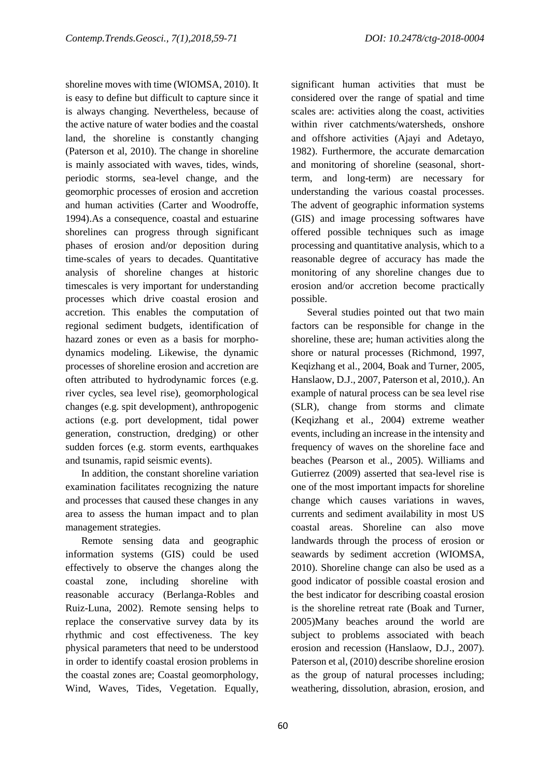shoreline moves with time (WIOMSA, 2010). It is easy to define but difficult to capture since it is always changing. Nevertheless, because of the active nature of water bodies and the coastal land, the shoreline is constantly changing (Paterson et al, 2010). The change in shoreline is mainly associated with waves, tides, winds, periodic storms, sea-level change, and the geomorphic processes of erosion and accretion and human activities (Carter and Woodroffe, 1994).As a consequence, coastal and estuarine shorelines can progress through significant phases of erosion and/or deposition during time-scales of years to decades. Quantitative analysis of shoreline changes at historic timescales is very important for understanding processes which drive coastal erosion and accretion. This enables the computation of regional sediment budgets, identification of hazard zones or even as a basis for morphodynamics modeling. Likewise, the dynamic processes of shoreline erosion and accretion are often attributed to hydrodynamic forces (e.g. river cycles, sea level rise), geomorphological changes (e.g. spit development), anthropogenic actions (e.g. port development, tidal power generation, construction, dredging) or other sudden forces (e.g. storm events, earthquakes and tsunamis, rapid seismic events).

In addition, the constant shoreline variation examination facilitates recognizing the nature and processes that caused these changes in any area to assess the human impact and to plan management strategies.

Remote sensing data and geographic information systems (GIS) could be used effectively to observe the changes along the coastal zone, including shoreline with reasonable accuracy (Berlanga-Robles and Ruiz-Luna, 2002). Remote sensing helps to replace the conservative survey data by its rhythmic and cost effectiveness. The key physical parameters that need to be understood in order to identify coastal erosion problems in the coastal zones are; Coastal geomorphology, Wind, Waves, Tides, Vegetation. Equally,

significant human activities that must be considered over the range of spatial and time scales are: activities along the coast, activities within river catchments/watersheds, onshore and offshore activities (Ajayi and Adetayo, 1982). Furthermore, the accurate demarcation and monitoring of shoreline (seasonal, shortterm, and long-term) are necessary for understanding the various coastal processes. The advent of geographic information systems (GIS) and image processing softwares have offered possible techniques such as image processing and quantitative analysis, which to a reasonable degree of accuracy has made the monitoring of any shoreline changes due to erosion and/or accretion become practically possible.

Several studies pointed out that two main factors can be responsible for change in the shoreline, these are; human activities along the shore or natural processes (Richmond, 1997, Keqizhang et al., 2004, Boak and Turner, 2005, Hanslaow, D.J., 2007, Paterson et al, 2010,). An example of natural process can be sea level rise (SLR), change from storms and climate (Keqizhang et al., 2004) extreme weather events, including an increase in the intensity and frequency of waves on the shoreline face and beaches (Pearson et al., 2005). Williams and Gutierrez (2009) asserted that sea-level rise is one of the most important impacts for shoreline change which causes variations in waves, currents and sediment availability in most US coastal areas. Shoreline can also move landwards through the process of erosion or seawards by sediment accretion (WIOMSA, 2010). Shoreline change can also be used as a good indicator of possible coastal erosion and the best indicator for describing coastal erosion is the shoreline retreat rate (Boak and Turner, 2005)Many beaches around the world are subject to problems associated with beach erosion and recession (Hanslaow, D.J., 2007). Paterson et al, (2010) describe shoreline erosion as the group of natural processes including; weathering, dissolution, abrasion, erosion, and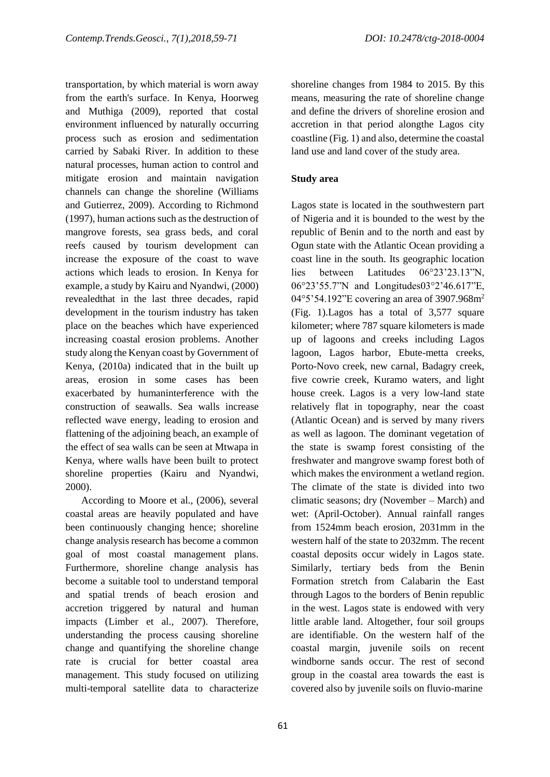transportation, by which material is worn away from the earth's surface. In Kenya, Hoorweg and Muthiga (2009), reported that costal environment influenced by naturally occurring process such as erosion and sedimentation carried by Sabaki River. In addition to these natural processes, human action to control and mitigate erosion and maintain navigation channels can change the shoreline (Williams and Gutierrez, 2009). According to Richmond (1997), human actions such as the destruction of mangrove forests, sea grass beds, and coral reefs caused by tourism development can increase the exposure of the coast to wave actions which leads to erosion. In Kenya for example, a study by Kairu and Nyandwi, (2000) revealedthat in the last three decades, rapid development in the tourism industry has taken place on the beaches which have experienced increasing coastal erosion problems. Another study along the Kenyan coast by Government of Kenya, (2010a) indicated that in the built up areas, erosion in some cases has been exacerbated by humaninterference with the construction of seawalls. Sea walls increase reflected wave energy, leading to erosion and flattening of the adjoining beach, an example of the effect of sea walls can be seen at Mtwapa in Kenya, where walls have been built to protect shoreline properties (Kairu and Nyandwi, 2000).

According to Moore et al., (2006), several coastal areas are heavily populated and have been continuously changing hence; shoreline change analysis research has become a common goal of most coastal management plans. Furthermore, shoreline change analysis has become a suitable tool to understand temporal and spatial trends of beach erosion and accretion triggered by natural and human impacts (Limber et al., 2007). Therefore, understanding the process causing shoreline change and quantifying the shoreline change rate is crucial for better coastal area management. This study focused on utilizing multi-temporal satellite data to characterize

shoreline changes from 1984 to 2015. By this means, measuring the rate of shoreline change and define the drivers of shoreline erosion and accretion in that period alongthe Lagos city coastline (Fig. 1) and also, determine the coastal land use and land cover of the study area.

#### **Study area**

Lagos state is located in the southwestern part of Nigeria and it is bounded to the west by the republic of Benin and to the north and east by Ogun state with the Atlantic Ocean providing a coast line in the south. Its geographic location lies between Latitudes 06°23'23.13"N, 06°23'55.7"N and Longitudes03°2'46.617"E, 04°5'54.192"E covering an area of 3907.968m<sup>2</sup> (Fig. 1).Lagos has a total of 3,577 square kilometer; where 787 square kilometers is made up of lagoons and creeks including Lagos lagoon, Lagos harbor, Ebute-metta creeks, Porto-Novo creek, new carnal, Badagry creek, five cowrie creek, Kuramo waters, and light house creek. Lagos is a very low-land state relatively flat in topography, near the coast (Atlantic Ocean) and is served by many rivers as well as lagoon. The dominant vegetation of the state is swamp forest consisting of the freshwater and mangrove swamp forest both of which makes the environment a wetland region. The climate of the state is divided into two climatic seasons; dry (November – March) and wet: (April-October). Annual rainfall ranges from 1524mm beach erosion, 2031mm in the western half of the state to 2032mm. The recent coastal deposits occur widely in Lagos state. Similarly, tertiary beds from the Benin Formation stretch from Calabarin the East through Lagos to the borders of Benin republic in the west. Lagos state is endowed with very little arable land. Altogether, four soil groups are identifiable. On the western half of the coastal margin, juvenile soils on recent windborne sands occur. The rest of second group in the coastal area towards the east is covered also by juvenile soils on fluvio-marine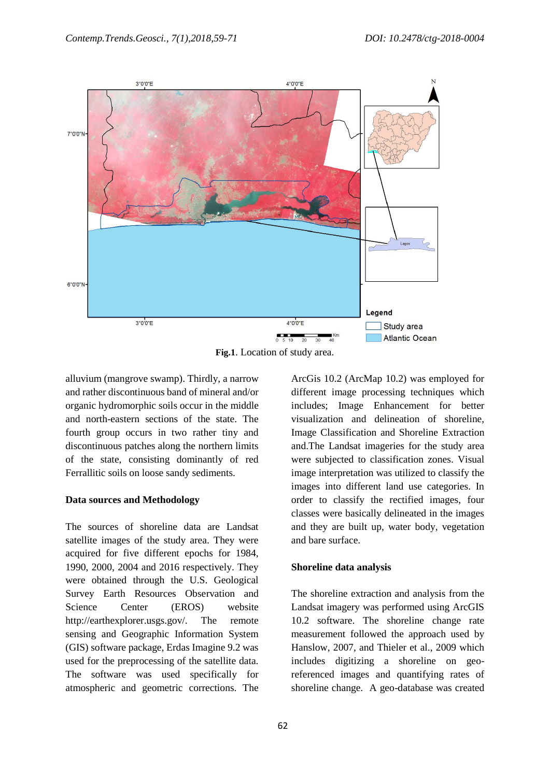

**Fig.1**. Location of study area.

alluvium (mangrove swamp). Thirdly, a narrow and rather discontinuous band of mineral and/or organic hydromorphic soils occur in the middle and north-eastern sections of the state. The fourth group occurs in two rather tiny and discontinuous patches along the northern limits of the state, consisting dominantly of red Ferrallitic soils on loose sandy sediments.

#### **Data sources and Methodology**

The sources of shoreline data are Landsat satellite images of the study area. They were acquired for five different epochs for 1984, 1990, 2000, 2004 and 2016 respectively. They were obtained through the U.S. Geological Survey Earth Resources Observation and Science Center (EROS) website http://earthexplorer.usgs.gov/. The remote sensing and Geographic Information System (GIS) software package, Erdas Imagine 9.2 was used for the preprocessing of the satellite data. The software was used specifically for atmospheric and geometric corrections. The ArcGis 10.2 (ArcMap 10.2) was employed for different image processing techniques which includes; Image Enhancement for better visualization and delineation of shoreline, Image Classification and Shoreline Extraction and.The Landsat imageries for the study area were subjected to classification zones. Visual image interpretation was utilized to classify the images into different land use categories. In order to classify the rectified images, four classes were basically delineated in the images and they are built up, water body, vegetation and bare surface.

#### **Shoreline data analysis**

The shoreline extraction and analysis from the Landsat imagery was performed using ArcGIS 10.2 software. The shoreline change rate measurement followed the approach used by Hanslow, 2007, and Thieler et al., 2009 which includes digitizing a shoreline on georeferenced images and quantifying rates of shoreline change. A geo-database was created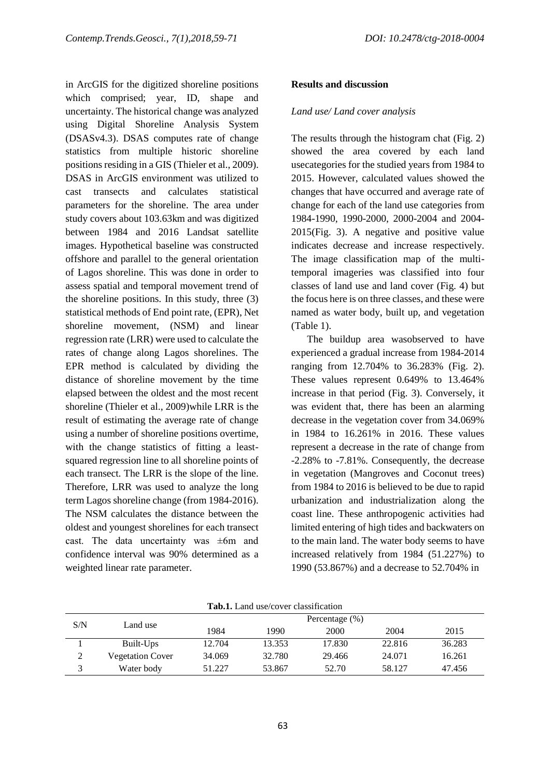in ArcGIS for the digitized shoreline positions which comprised; year, ID, shape and uncertainty. The historical change was analyzed using Digital Shoreline Analysis System (DSASv4.3). DSAS computes rate of change statistics from multiple historic shoreline positions residing in a GIS (Thieler et al., 2009). DSAS in ArcGIS environment was utilized to cast transects and calculates statistical parameters for the shoreline. The area under study covers about 103.63km and was digitized between 1984 and 2016 Landsat satellite images. Hypothetical baseline was constructed offshore and parallel to the general orientation of Lagos shoreline. This was done in order to assess spatial and temporal movement trend of the shoreline positions. In this study, three (3) statistical methods of End point rate, (EPR), Net shoreline movement, (NSM) and linear regression rate (LRR) were used to calculate the rates of change along Lagos shorelines. The EPR method is calculated by dividing the distance of shoreline movement by the time elapsed between the oldest and the most recent shoreline (Thieler et al., 2009)while LRR is the result of estimating the average rate of change using a number of shoreline positions overtime, with the change statistics of fitting a leastsquared regression line to all shoreline points of each transect. The LRR is the slope of the line. Therefore, LRR was used to analyze the long term Lagos shoreline change (from 1984-2016). The NSM calculates the distance between the oldest and youngest shorelines for each transect cast. The data uncertainty was  $\pm 6m$  and confidence interval was 90% determined as a weighted linear rate parameter.

#### **Results and discussion**

#### *Land use/ Land cover analysis*

The results through the histogram chat (Fig. 2) showed the area covered by each land usecategories for the studied years from 1984 to 2015. However, calculated values showed the changes that have occurred and average rate of change for each of the land use categories from 1984-1990, 1990-2000, 2000-2004 and 2004- 2015(Fig. 3). A negative and positive value indicates decrease and increase respectively. The image classification map of the multitemporal imageries was classified into four classes of land use and land cover (Fig. 4) but the focus here is on three classes, and these were named as water body, built up, and vegetation (Table 1).

The buildup area wasobserved to have experienced a gradual increase from 1984-2014 ranging from 12.704% to 36.283% (Fig. 2). These values represent 0.649% to 13.464% increase in that period (Fig. 3). Conversely, it was evident that, there has been an alarming decrease in the vegetation cover from 34.069% in 1984 to 16.261% in 2016. These values represent a decrease in the rate of change from -2.28% to -7.81%. Consequently, the decrease in vegetation (Mangroves and Coconut trees) from 1984 to 2016 is believed to be due to rapid urbanization and industrialization along the coast line. These anthropogenic activities had limited entering of high tides and backwaters on to the main land. The water body seems to have increased relatively from 1984 (51.227%) to 1990 (53.867%) and a decrease to 52.704% in

| <b>Tab.1.</b> Land use/cover classification |                         |                    |        |        |        |        |  |
|---------------------------------------------|-------------------------|--------------------|--------|--------|--------|--------|--|
|                                             |                         | Percentage $(\% )$ |        |        |        |        |  |
| S/N                                         | Land use                | 1984               | 1990   | 2000   | 2004   | 2015   |  |
|                                             | Built-Ups               | 12.704             | 13.353 | 17.830 | 22.816 | 36.283 |  |
| 2                                           | <b>Vegetation Cover</b> | 34.069             | 32.780 | 29.466 | 24.071 | 16.261 |  |
| 3                                           | Water body              | 51.227             | 53.867 | 52.70  | 58.127 | 47.456 |  |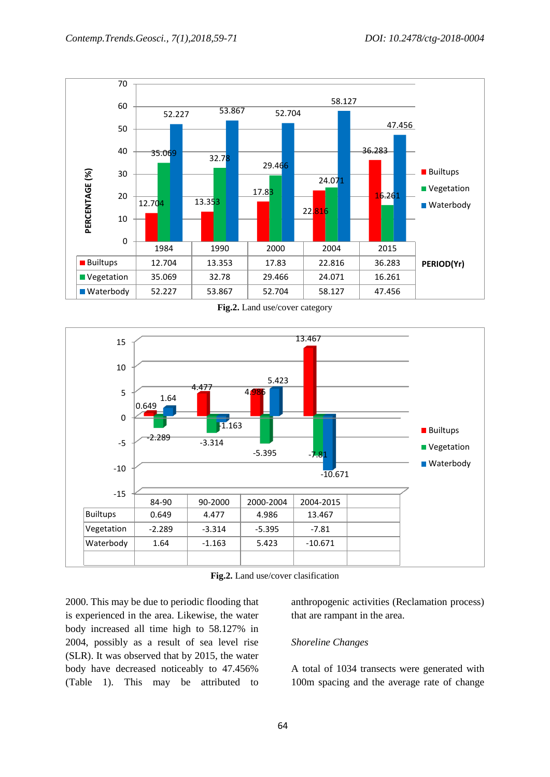

**Fig.2.** Land use/cover category



**Fig.2.** Land use/cover clasification

2000. This may be due to periodic flooding that is experienced in the area. Likewise, the water body increased all time high to 58.127% in 2004, possibly as a result of sea level rise (SLR). It was observed that by 2015, the water body have decreased noticeably to 47.456% (Table 1). This may be attributed to

anthropogenic activities (Reclamation process) that are rampant in the area.

#### *Shoreline Changes*

A total of 1034 transects were generated with 100m spacing and the average rate of change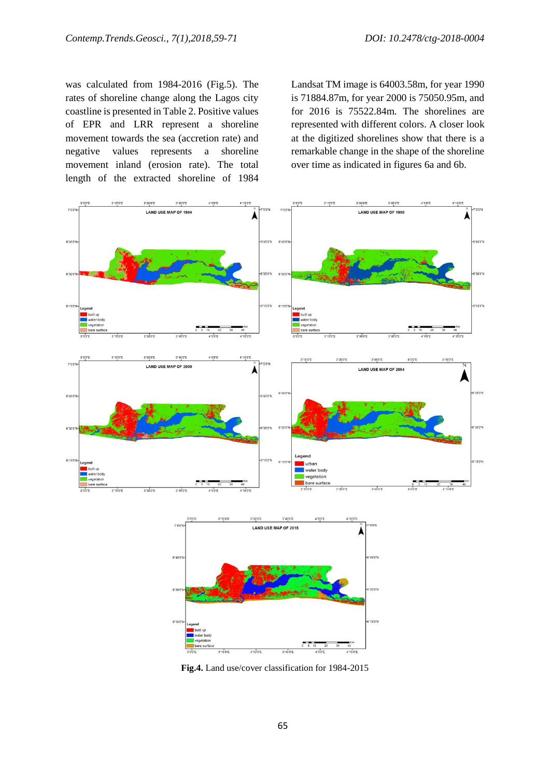was calculated from 1984-2016 (Fig.5). The rates of shoreline change along the Lagos city coastline is presented in Table 2. Positive values of EPR and LRR represent a shoreline movement towards the sea (accretion rate) and negative values represents a shoreline movement inland (erosion rate). The total length of the extracted shoreline of 1984

Landsat TM image is 64003.58m, for year 1990 is 71884.87m, for year 2000 is 75050.95m, and for 2016 is 75522.84m. The shorelines are represented with different colors. A closer look at the digitized shorelines show that there is a remarkable change in the shape of the shoreline over time as indicated in figures 6a and 6b.



**Fig.4.** Land use/cover classification for 1984-2015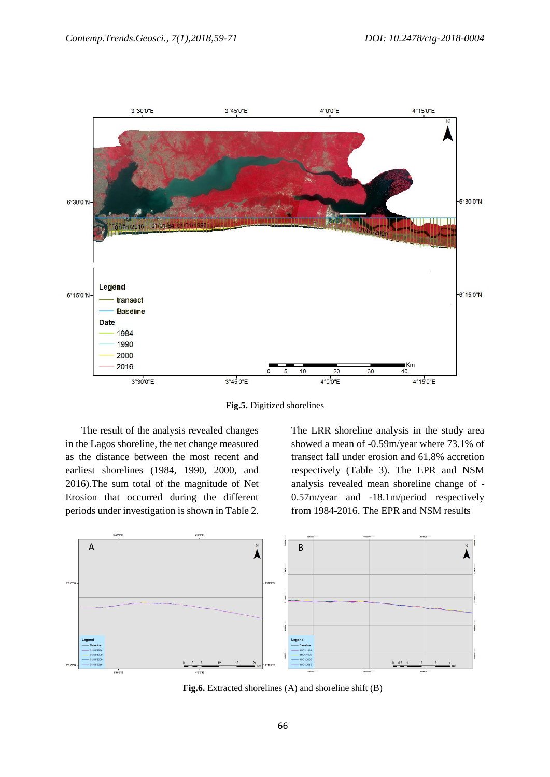

**Fig.5.** Digitized shorelines

The result of the analysis revealed changes in the Lagos shoreline, the net change measured as the distance between the most recent and earliest shorelines (1984, 1990, 2000, and 2016).The sum total of the magnitude of Net Erosion that occurred during the different periods under investigation is shown in Table 2. The LRR shoreline analysis in the study area showed a mean of -0.59m/year where 73.1% of transect fall under erosion and 61.8% accretion respectively (Table 3). The EPR and NSM analysis revealed mean shoreline change of - 0.57m/year and -18.1m/period respectively from 1984-2016. The EPR and NSM results



**Fig.6.** Extracted shorelines (A) and shoreline shift (B)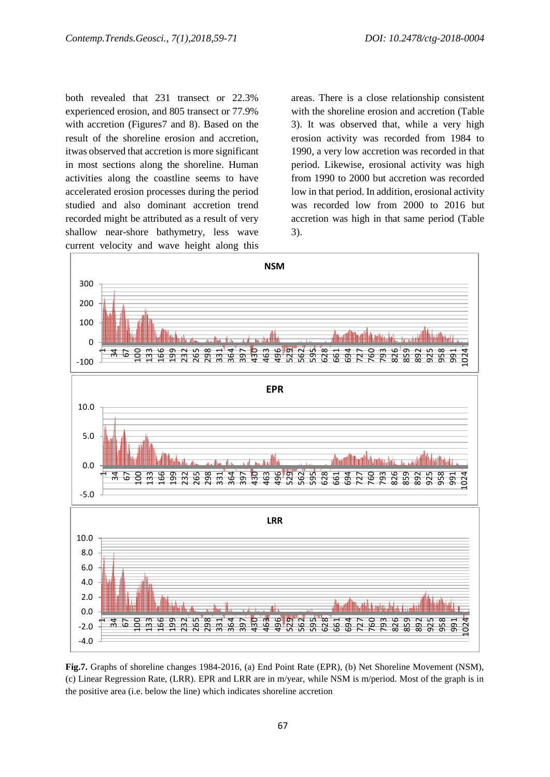both revealed that 231 transect or 22.3% experienced erosion, and 805 transect or 77.9% with accretion (Figures7 and 8). Based on the result of the shoreline erosion and accretion, itwas observed that accretion is more significant in most sections along the shoreline. Human activities along the coastline seems to have accelerated erosion processes during the period studied and also dominant accretion trend recorded might be attributed as a result of very shallow near-shore bathymetry, less wave current velocity and wave height along this

areas. There is a close relationship consistent with the shoreline erosion and accretion (Table 3). It was observed that, while a very high erosion activity was recorded from 1984 to 1990, a very low accretion was recorded in that period. Likewise, erosional activity was high from 1990 to 2000 but accretion was recorded low in that period. In addition, erosional activity was recorded low from 2000 to 2016 but accretion was high in that same period (Table 3).



**Fig.7.** Graphs of shoreline changes 1984-2016, (a) End Point Rate (EPR), (b) Net Shoreline Movement (NSM), (c) Linear Regression Rate, (LRR). EPR and LRR are in m/year, while NSM is m/period. Most of the graph is in the positive area (i.e. below the line) which indicates shoreline accretion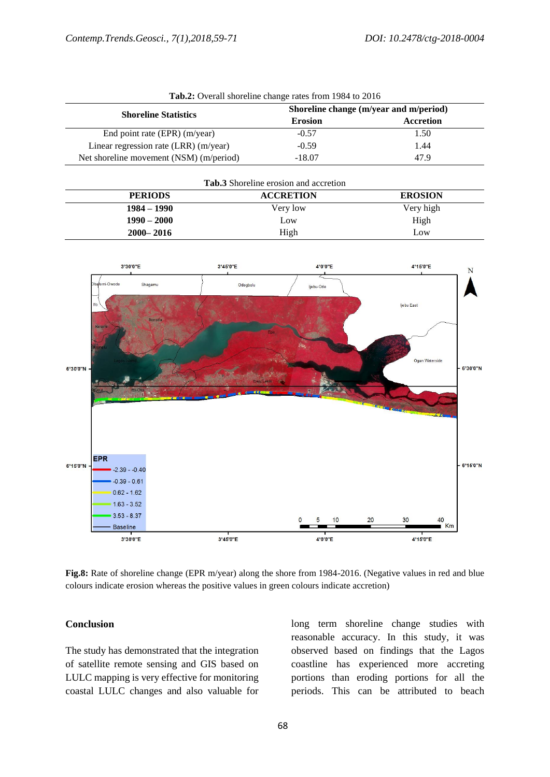| <b>Tuble:</b> Overall shoreline enange rates from 170 F to 2010 |                                        |           |  |  |  |
|-----------------------------------------------------------------|----------------------------------------|-----------|--|--|--|
| <b>Shoreline Statistics</b>                                     | Shoreline change (m/year and m/period) |           |  |  |  |
|                                                                 | <b>Erosion</b>                         | Accretion |  |  |  |
| End point rate (EPR) (m/year)                                   | $-0.57$                                | 1.50      |  |  |  |
| Linear regression rate (LRR) (m/year)                           | $-0.59$                                | 1.44      |  |  |  |
| Net shoreline movement (NSM) (m/period)                         | $-18.07$                               | 47.9      |  |  |  |

|  |  |  |  |  | Tab.2: Overall shoreline change rates from 1984 to 2016 |  |  |  |
|--|--|--|--|--|---------------------------------------------------------|--|--|--|
|--|--|--|--|--|---------------------------------------------------------|--|--|--|

| <b>Tab.3</b> Shoreline erosion and accretion |                  |                |  |  |
|----------------------------------------------|------------------|----------------|--|--|
| <b>PERIODS</b>                               | <b>ACCRETION</b> | <b>EROSION</b> |  |  |
| $1984 - 1990$                                | Very low         | Very high      |  |  |
| $1990 - 2000$                                | Low              | High           |  |  |
| $2000 - 2016$                                | High             | Low            |  |  |



**Fig.8:** Rate of shoreline change (EPR m/year) along the shore from 1984-2016. (Negative values in red and blue colours indicate erosion whereas the positive values in green colours indicate accretion)

#### **Conclusion**

The study has demonstrated that the integration of satellite remote sensing and GIS based on LULC mapping is very effective for monitoring coastal LULC changes and also valuable for long term shoreline change studies with reasonable accuracy. In this study, it was observed based on findings that the Lagos coastline has experienced more accreting portions than eroding portions for all the periods. This can be attributed to beach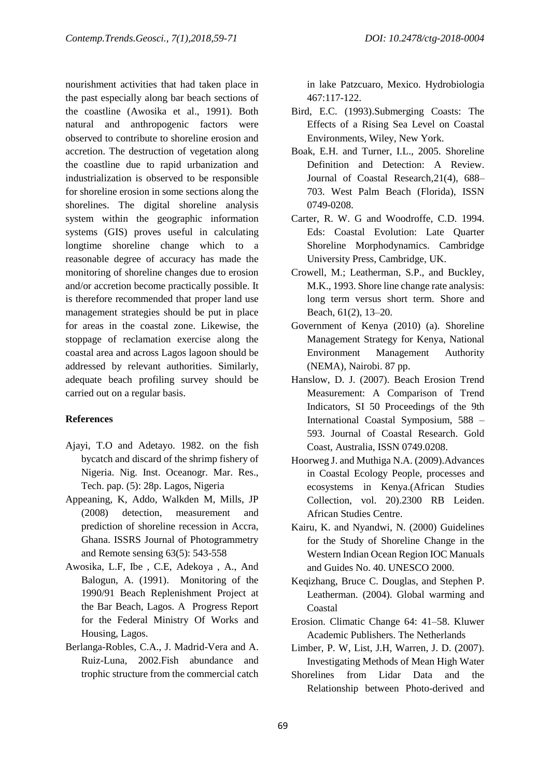nourishment activities that had taken place in the past especially along bar beach sections of the coastline (Awosika et al., 1991). Both natural and anthropogenic factors were observed to contribute to shoreline erosion and accretion. The destruction of vegetation along the coastline due to rapid urbanization and industrialization is observed to be responsible for shoreline erosion in some sections along the shorelines. The digital shoreline analysis system within the geographic information systems (GIS) proves useful in calculating longtime shoreline change which to a reasonable degree of accuracy has made the monitoring of shoreline changes due to erosion and/or accretion become practically possible. It is therefore recommended that proper land use management strategies should be put in place for areas in the coastal zone. Likewise, the stoppage of reclamation exercise along the coastal area and across Lagos lagoon should be addressed by relevant authorities. Similarly, adequate beach profiling survey should be carried out on a regular basis.

### **References**

- Ajayi, T.O and Adetayo. 1982. on the fish bycatch and discard of the shrimp fishery of Nigeria. Nig. Inst. Oceanogr. Mar. Res., Tech. pap. (5): 28p. Lagos, Nigeria
- Appeaning, K, Addo, Walkden M, Mills, JP (2008) detection, measurement and prediction of shoreline recession in Accra, Ghana. ISSRS Journal of Photogrammetry and Remote sensing 63(5): 543-558
- Awosika, L.F, Ibe , C.E, Adekoya , A., And Balogun, A. (1991). Monitoring of the 1990/91 Beach Replenishment Project at the Bar Beach, Lagos. A Progress Report for the Federal Ministry Of Works and Housing, Lagos.
- Berlanga-Robles, C.A., J. Madrid-Vera and A. Ruiz-Luna, 2002.Fish abundance and trophic structure from the commercial catch

in lake Patzcuaro, Mexico. Hydrobiologia 467:117-122.

- Bird, E.C. (1993).Submerging Coasts: The Effects of a Rising Sea Level on Coastal Environments, Wiley, New York.
- Boak, E.H. and Turner, I.L., 2005. Shoreline Definition and Detection: A Review. Journal of Coastal Research,21(4), 688– 703. West Palm Beach (Florida), ISSN 0749-0208.
- Carter, R. W. G and Woodroffe, C.D. 1994. Eds: Coastal Evolution: Late Quarter Shoreline Morphodynamics. Cambridge University Press, Cambridge, UK.
- Crowell, M.; Leatherman, S.P., and Buckley, M.K., 1993. Shore line change rate analysis: long term versus short term. Shore and Beach, 61(2), 13–20.
- Government of Kenya (2010) (a). Shoreline Management Strategy for Kenya, National Environment Management Authority (NEMA), Nairobi. 87 pp.
- Hanslow, D. J. (2007). Beach Erosion Trend Measurement: A Comparison of Trend Indicators, SI 50 Proceedings of the 9th International Coastal Symposium, 588 – 593. Journal of Coastal Research. Gold Coast, Australia, ISSN 0749.0208.
- Hoorweg J. and Muthiga N.A. (2009).Advances in Coastal Ecology People, processes and ecosystems in Kenya.(African Studies Collection, vol. 20).2300 RB Leiden. African Studies Centre.
- Kairu, K. and Nyandwi, N. (2000) Guidelines for the Study of Shoreline Change in the Western Indian Ocean Region IOC Manuals and Guides No. 40. UNESCO 2000.
- Keqizhang, Bruce C. Douglas, and Stephen P. Leatherman. (2004). Global warming and Coastal
- Erosion. Climatic Change 64: 41–58. Kluwer Academic Publishers. The Netherlands
- Limber, P. W, List, J.H, Warren, J. D. (2007). Investigating Methods of Mean High Water
- Shorelines from Lidar Data and the Relationship between Photo-derived and